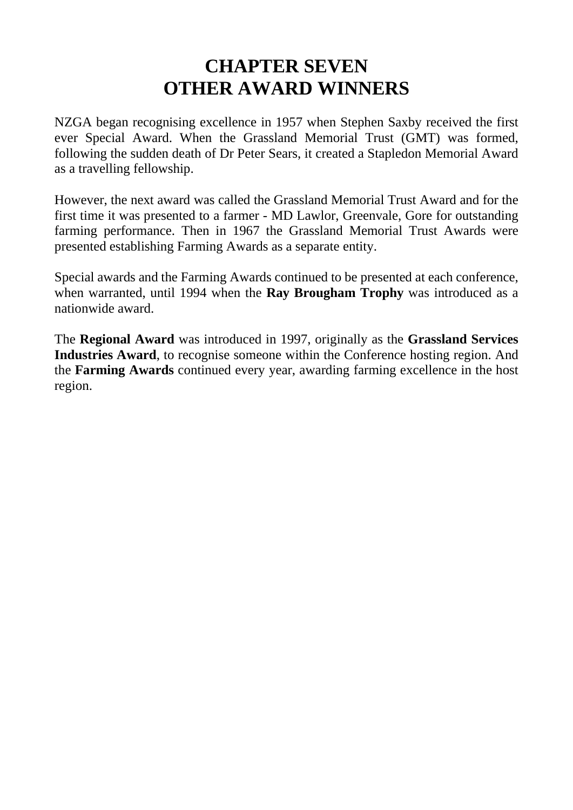# **CHAPTER SEVEN OTHER AWARD WINNERS**

NZGA began recognising excellence in 1957 when Stephen Saxby received the first ever Special Award. When the Grassland Memorial Trust (GMT) was formed, following the sudden death of Dr Peter Sears, it created a Stapledon Memorial Award as a travelling fellowship.

However, the next award was called the Grassland Memorial Trust Award and for the first time it was presented to a farmer - MD Lawlor, Greenvale, Gore for outstanding farming performance. Then in 1967 the Grassland Memorial Trust Awards were presented establishing Farming Awards as a separate entity.

Special awards and the Farming Awards continued to be presented at each conference, when warranted, until 1994 when the **Ray Brougham Trophy** was introduced as a nationwide award.

The **Regional Award** was introduced in 1997, originally as the **Grassland Services Industries Award**, to recognise someone within the Conference hosting region. And the **Farming Awards** continued every year, awarding farming excellence in the host region.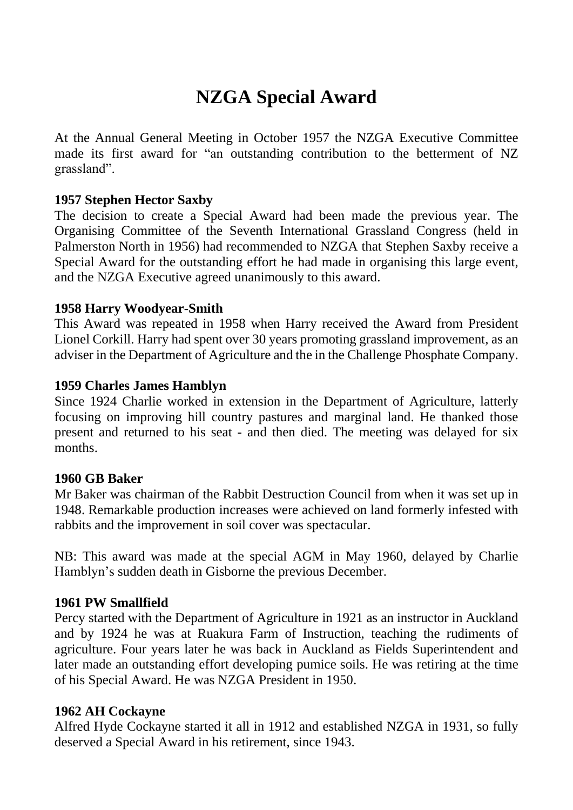# **NZGA Special Award**

At the Annual General Meeting in October 1957 the NZGA Executive Committee made its first award for "an outstanding contribution to the betterment of NZ grassland".

### **1957 Stephen Hector Saxby**

The decision to create a Special Award had been made the previous year. The Organising Committee of the Seventh International Grassland Congress (held in Palmerston North in 1956) had recommended to NZGA that Stephen Saxby receive a Special Award for the outstanding effort he had made in organising this large event, and the NZGA Executive agreed unanimously to this award.

## **1958 Harry Woodyear-Smith**

This Award was repeated in 1958 when Harry received the Award from President Lionel Corkill. Harry had spent over 30 years promoting grassland improvement, as an adviser in the Department of Agriculture and the in the Challenge Phosphate Company.

## **1959 Charles James Hamblyn**

Since 1924 Charlie worked in extension in the Department of Agriculture, latterly focusing on improving hill country pastures and marginal land. He thanked those present and returned to his seat - and then died. The meeting was delayed for six months.

# **1960 GB Baker**

Mr Baker was chairman of the Rabbit Destruction Council from when it was set up in 1948. Remarkable production increases were achieved on land formerly infested with rabbits and the improvement in soil cover was spectacular.

NB: This award was made at the special AGM in May 1960, delayed by Charlie Hamblyn's sudden death in Gisborne the previous December.

# **1961 PW Smallfield**

Percy started with the Department of Agriculture in 1921 as an instructor in Auckland and by 1924 he was at Ruakura Farm of Instruction, teaching the rudiments of agriculture. Four years later he was back in Auckland as Fields Superintendent and later made an outstanding effort developing pumice soils. He was retiring at the time of his Special Award. He was NZGA President in 1950.

### **1962 AH Cockayne**

Alfred Hyde Cockayne started it all in 1912 and established NZGA in 1931, so fully deserved a Special Award in his retirement, since 1943.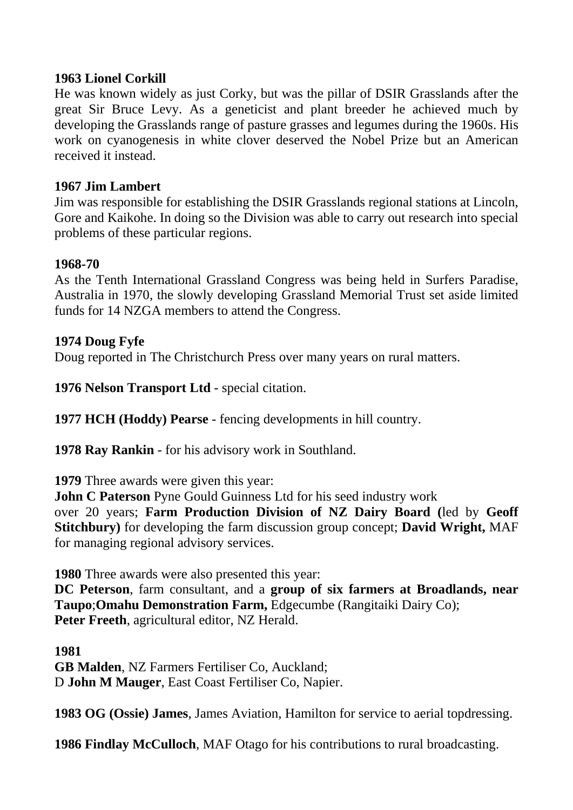### **1963 Lionel Corkill**

He was known widely as just Corky, but was the pillar of DSIR Grasslands after the great Sir Bruce Levy. As a geneticist and plant breeder he achieved much by developing the Grasslands range of pasture grasses and legumes during the 1960s. His work on cyanogenesis in white clover deserved the Nobel Prize but an American received it instead.

## **1967 Jim Lambert**

Jim was responsible for establishing the DSIR Grasslands regional stations at Lincoln, Gore and Kaikohe. In doing so the Division was able to carry out research into special problems of these particular regions.

### **1968-70**

As the Tenth International Grassland Congress was being held in Surfers Paradise, Australia in 1970, the slowly developing Grassland Memorial Trust set aside limited funds for 14 NZGA members to attend the Congress.

## **1974 Doug Fyfe**

Doug reported in The Christchurch Press over many years on rural matters.

**1976 Nelson Transport Ltd** - special citation.

**1977 HCH (Hoddy) Pearse** - fencing developments in hill country.

**1978 Ray Rankin** - for his advisory work in Southland.

**1979** Three awards were given this year:

**John C Paterson** Pyne Gould Guinness Ltd for his seed industry work

over 20 years; **Farm Production Division of NZ Dairy Board (**led by **Geoff Stitchbury)** for developing the farm discussion group concept; **David Wright,** MAF for managing regional advisory services.

**1980** Three awards were also presented this year:

**DC Peterson**, farm consultant, and a **group of six farmers at Broadlands, near Taupo**;**Omahu Demonstration Farm,** Edgecumbe (Rangitaiki Dairy Co); **Peter Freeth**, agricultural editor, NZ Herald.

### **1981**

**GB Malden**, NZ Farmers Fertiliser Co, Auckland; D **John M Mauger**, East Coast Fertiliser Co, Napier.

**1983 OG (Ossie) James**, James Aviation, Hamilton for service to aerial topdressing.

**1986 Findlay McCulloch**, MAF Otago for his contributions to rural broadcasting.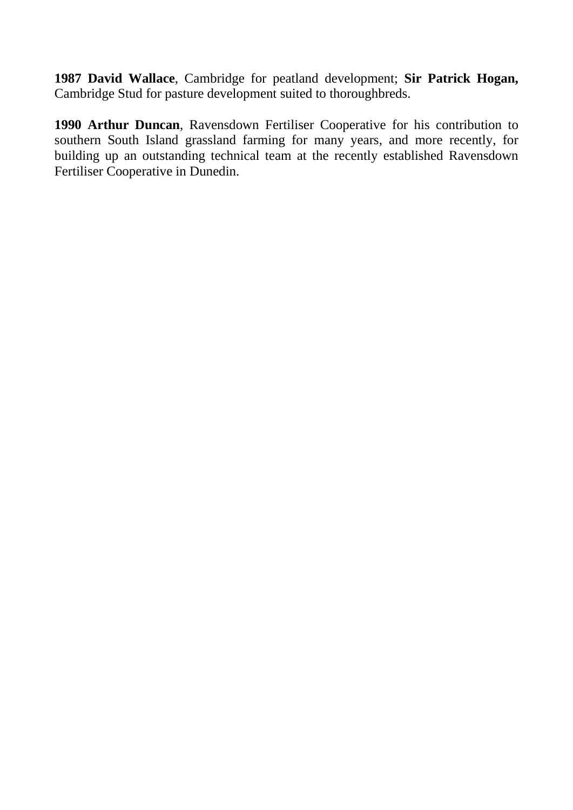**1987 David Wallace**, Cambridge for peatland development; **Sir Patrick Hogan,** Cambridge Stud for pasture development suited to thoroughbreds.

**1990 Arthur Duncan**, Ravensdown Fertiliser Cooperative for his contribution to southern South Island grassland farming for many years, and more recently, for building up an outstanding technical team at the recently established Ravensdown Fertiliser Cooperative in Dunedin.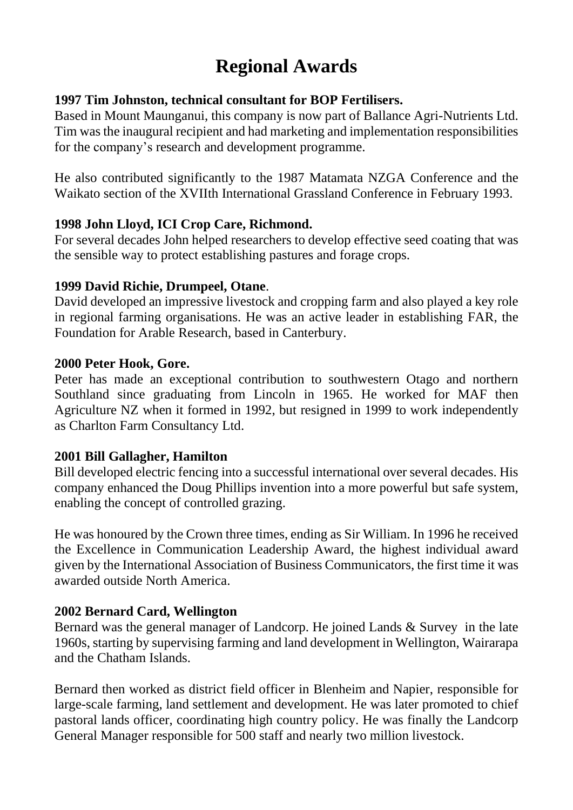# **Regional Awards**

# **1997 Tim Johnston, technical consultant for BOP Fertilisers.**

Based in Mount Maunganui, this company is now part of Ballance Agri-Nutrients Ltd. Tim was the inaugural recipient and had marketing and implementation responsibilities for the company's research and development programme.

He also contributed significantly to the 1987 Matamata NZGA Conference and the Waikato section of the XVIIth International Grassland Conference in February 1993.

# **1998 John Lloyd, ICI Crop Care, Richmond.**

For several decades John helped researchers to develop effective seed coating that was the sensible way to protect establishing pastures and forage crops.

# **1999 David Richie, Drumpeel, Otane**.

David developed an impressive livestock and cropping farm and also played a key role in regional farming organisations. He was an active leader in establishing FAR, the Foundation for Arable Research, based in Canterbury.

## **2000 Peter Hook, Gore.**

Peter has made an exceptional contribution to southwestern Otago and northern Southland since graduating from Lincoln in 1965. He worked for MAF then Agriculture NZ when it formed in 1992, but resigned in 1999 to work independently as Charlton Farm Consultancy Ltd.

# **2001 Bill Gallagher, Hamilton**

Bill developed electric fencing into a successful international over several decades. His company enhanced the Doug Phillips invention into a more powerful but safe system, enabling the concept of controlled grazing.

He was honoured by the Crown three times, ending as Sir William. In 1996 he received the Excellence in Communication Leadership Award, the highest individual award given by the International Association of Business Communicators, the first time it was awarded outside North America.

# **2002 Bernard Card, Wellington**

Bernard was the general manager of Landcorp. He joined Lands & Survey in the late 1960s, starting by supervising farming and land development in Wellington, Wairarapa and the Chatham Islands.

Bernard then worked as district field officer in Blenheim and Napier, responsible for large-scale farming, land settlement and development. He was later promoted to chief pastoral lands officer, coordinating high country policy. He was finally the Landcorp General Manager responsible for 500 staff and nearly two million livestock.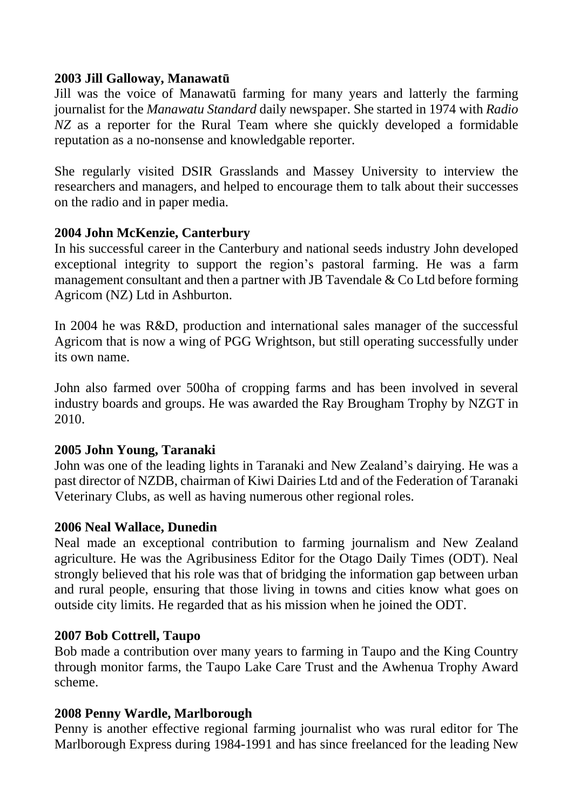## **2003 Jill Galloway, Manawatū**

Jill was the voice of Manawatū farming for many years and latterly the farming journalist for the *Manawatu Standard* daily newspaper. She started in 1974 with *Radio NZ* as a reporter for the Rural Team where she quickly developed a formidable reputation as a no-nonsense and knowledgable reporter.

She regularly visited DSIR Grasslands and Massey University to interview the researchers and managers, and helped to encourage them to talk about their successes on the radio and in paper media.

## **2004 John McKenzie, Canterbury**

In his successful career in the Canterbury and national seeds industry John developed exceptional integrity to support the region's pastoral farming. He was a farm management consultant and then a partner with JB Tavendale & Co Ltd before forming Agricom (NZ) Ltd in Ashburton.

In 2004 he was R&D, production and international sales manager of the successful Agricom that is now a wing of PGG Wrightson, but still operating successfully under its own name.

John also farmed over 500ha of cropping farms and has been involved in several industry boards and groups. He was awarded the Ray Brougham Trophy by NZGT in 2010.

### **2005 John Young, Taranaki**

John was one of the leading lights in Taranaki and New Zealand's dairying. He was a past director of NZDB, chairman of Kiwi Dairies Ltd and of the Federation of Taranaki Veterinary Clubs, as well as having numerous other regional roles.

### **2006 Neal Wallace, Dunedin**

Neal made an exceptional contribution to farming journalism and New Zealand agriculture. He was the Agribusiness Editor for the Otago Daily Times (ODT). Neal strongly believed that his role was that of bridging the information gap between urban and rural people, ensuring that those living in towns and cities know what goes on outside city limits. He regarded that as his mission when he joined the ODT.

### **2007 Bob Cottrell, Taupo**

Bob made a contribution over many years to farming in Taupo and the King Country through monitor farms, the Taupo Lake Care Trust and the Awhenua Trophy Award scheme.

# **2008 Penny Wardle, Marlborough**

Penny is another effective regional farming journalist who was rural editor for The Marlborough Express during 1984-1991 and has since freelanced for the leading New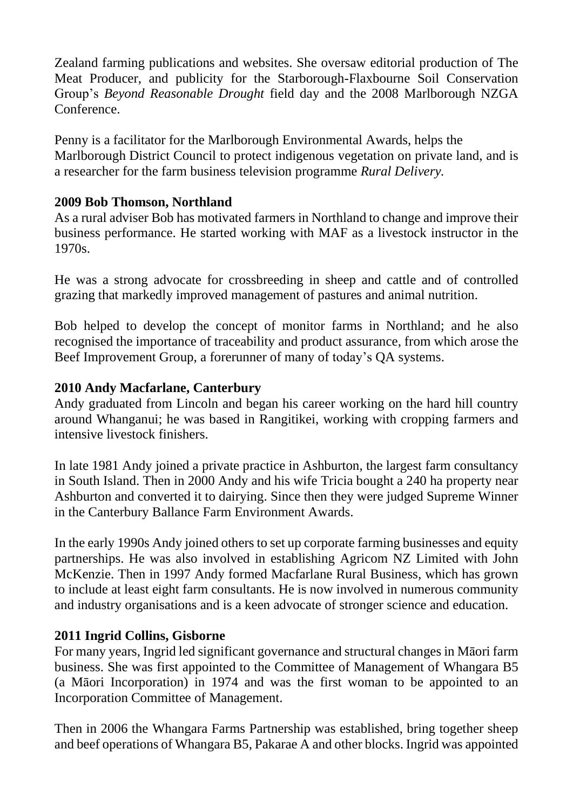Zealand farming publications and websites. She oversaw editorial production of The Meat Producer, and publicity for the Starborough-Flaxbourne Soil Conservation Group's *Beyond Reasonable Drought* field day and the 2008 Marlborough NZGA Conference.

Penny is a facilitator for the Marlborough Environmental Awards, helps the Marlborough District Council to protect indigenous vegetation on private land, and is a researcher for the farm business television programme *Rural Delivery.*

# **2009 Bob Thomson, Northland**

As a rural adviser Bob has motivated farmers in Northland to change and improve their business performance. He started working with MAF as a livestock instructor in the 1970s.

He was a strong advocate for crossbreeding in sheep and cattle and of controlled grazing that markedly improved management of pastures and animal nutrition.

Bob helped to develop the concept of monitor farms in Northland; and he also recognised the importance of traceability and product assurance, from which arose the Beef Improvement Group, a forerunner of many of today's QA systems.

# **2010 Andy Macfarlane, Canterbury**

Andy graduated from Lincoln and began his career working on the hard hill country around Whanganui; he was based in Rangitikei, working with cropping farmers and intensive livestock finishers.

In late 1981 Andy joined a private practice in Ashburton, the largest farm consultancy in South Island. Then in 2000 Andy and his wife Tricia bought a 240 ha property near Ashburton and converted it to dairying. Since then they were judged Supreme Winner in the Canterbury Ballance Farm Environment Awards.

In the early 1990s Andy joined others to set up corporate farming businesses and equity partnerships. He was also involved in establishing Agricom NZ Limited with John McKenzie. Then in 1997 Andy formed Macfarlane Rural Business, which has grown to include at least eight farm consultants. He is now involved in numerous community and industry organisations and is a keen advocate of stronger science and education.

# **2011 Ingrid Collins, Gisborne**

For many years, Ingrid led significant governance and structural changes in Māori farm business. She was first appointed to the Committee of Management of Whangara B5 (a Māori Incorporation) in 1974 and was the first woman to be appointed to an Incorporation Committee of Management.

Then in 2006 the Whangara Farms Partnership was established, bring together sheep and beef operations of Whangara B5, Pakarae A and other blocks. Ingrid was appointed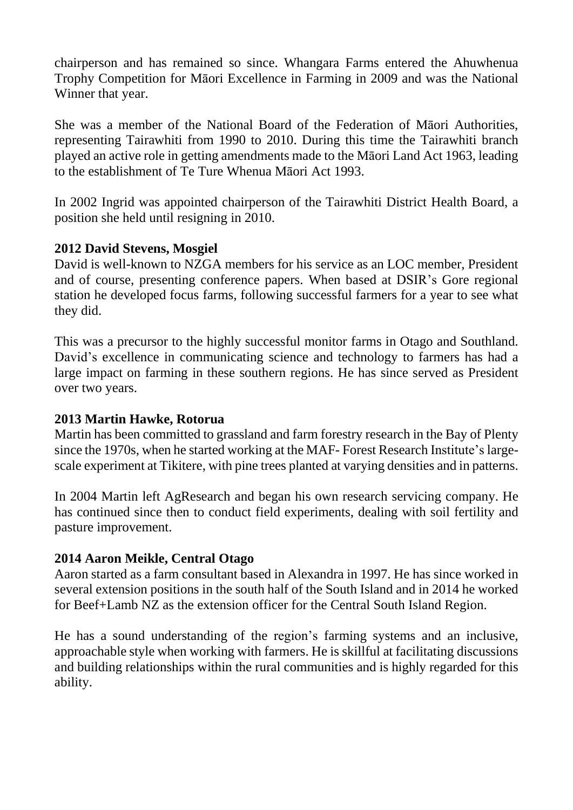chairperson and has remained so since. Whangara Farms entered the Ahuwhenua Trophy Competition for Māori Excellence in Farming in 2009 and was the National Winner that year.

She was a member of the National Board of the Federation of Māori Authorities, representing Tairawhiti from 1990 to 2010. During this time the Tairawhiti branch played an active role in getting amendments made to the Māori Land Act 1963, leading to the establishment of Te Ture Whenua Māori Act 1993.

In 2002 Ingrid was appointed chairperson of the Tairawhiti District Health Board, a position she held until resigning in 2010.

# **2012 David Stevens, Mosgiel**

David is well-known to NZGA members for his service as an LOC member, President and of course, presenting conference papers. When based at DSIR's Gore regional station he developed focus farms, following successful farmers for a year to see what they did.

This was a precursor to the highly successful monitor farms in Otago and Southland. David's excellence in communicating science and technology to farmers has had a large impact on farming in these southern regions. He has since served as President over two years.

### **2013 Martin Hawke, Rotorua**

Martin has been committed to grassland and farm forestry research in the Bay of Plenty since the 1970s, when he started working at the MAF- Forest Research Institute's largescale experiment at Tikitere, with pine trees planted at varying densities and in patterns.

In 2004 Martin left AgResearch and began his own research servicing company. He has continued since then to conduct field experiments, dealing with soil fertility and pasture improvement.

# **2014 Aaron Meikle, Central Otago**

Aaron started as a farm consultant based in Alexandra in 1997. He has since worked in several extension positions in the south half of the South Island and in 2014 he worked for Beef+Lamb NZ as the extension officer for the Central South Island Region.

He has a sound understanding of the region's farming systems and an inclusive, approachable style when working with farmers. He is skillful at facilitating discussions and building relationships within the rural communities and is highly regarded for this ability.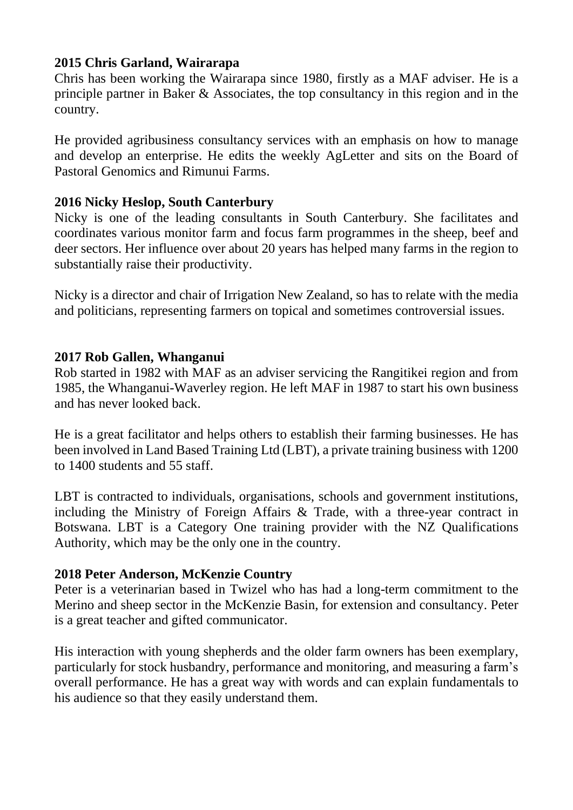## **2015 Chris Garland, Wairarapa**

Chris has been working the Wairarapa since 1980, firstly as a MAF adviser. He is a principle partner in Baker & Associates, the top consultancy in this region and in the country.

He provided agribusiness consultancy services with an emphasis on how to manage and develop an enterprise. He edits the weekly AgLetter and sits on the Board of Pastoral Genomics and Rimunui Farms.

## **2016 Nicky Heslop, South Canterbury**

Nicky is one of the leading consultants in South Canterbury. She facilitates and coordinates various monitor farm and focus farm programmes in the sheep, beef and deer sectors. Her influence over about 20 years has helped many farms in the region to substantially raise their productivity.

Nicky is a director and chair of Irrigation New Zealand, so has to relate with the media and politicians, representing farmers on topical and sometimes controversial issues.

## **2017 Rob Gallen, Whanganui**

Rob started in 1982 with MAF as an adviser servicing the Rangitikei region and from 1985, the Whanganui-Waverley region. He left MAF in 1987 to start his own business and has never looked back.

He is a great facilitator and helps others to establish their farming businesses. He has been involved in Land Based Training Ltd (LBT), a private training business with 1200 to 1400 students and 55 staff.

LBT is contracted to individuals, organisations, schools and government institutions, including the Ministry of Foreign Affairs & Trade, with a three-year contract in Botswana. LBT is a Category One training provider with the NZ Qualifications Authority, which may be the only one in the country.

### **2018 Peter Anderson, McKenzie Country**

Peter is a veterinarian based in Twizel who has had a long-term commitment to the Merino and sheep sector in the McKenzie Basin, for extension and consultancy. Peter is a great teacher and gifted communicator.

His interaction with young shepherds and the older farm owners has been exemplary, particularly for stock husbandry, performance and monitoring, and measuring a farm's overall performance. He has a great way with words and can explain fundamentals to his audience so that they easily understand them.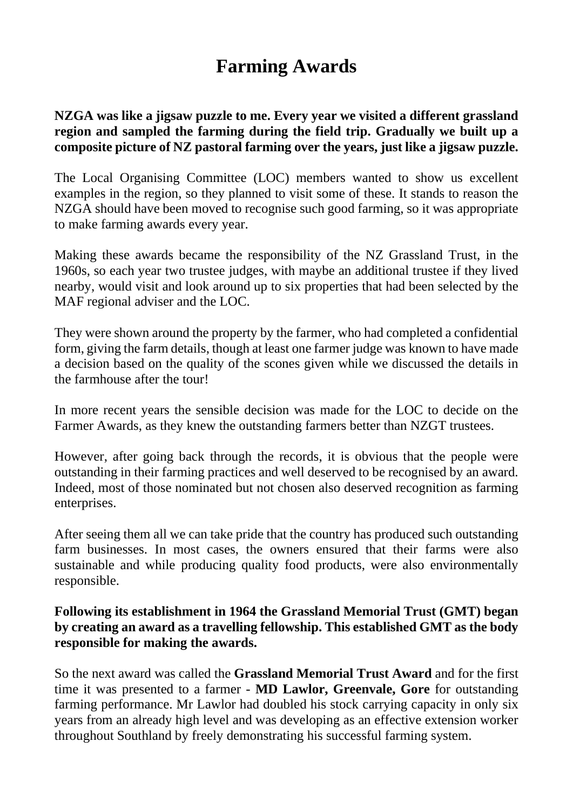# **Farming Awards**

## **NZGA was like a jigsaw puzzle to me. Every year we visited a different grassland region and sampled the farming during the field trip. Gradually we built up a composite picture of NZ pastoral farming over the years, just like a jigsaw puzzle.**

The Local Organising Committee (LOC) members wanted to show us excellent examples in the region, so they planned to visit some of these. It stands to reason the NZGA should have been moved to recognise such good farming, so it was appropriate to make farming awards every year.

Making these awards became the responsibility of the NZ Grassland Trust, in the 1960s, so each year two trustee judges, with maybe an additional trustee if they lived nearby, would visit and look around up to six properties that had been selected by the MAF regional adviser and the LOC.

They were shown around the property by the farmer, who had completed a confidential form, giving the farm details, though at least one farmer judge was known to have made a decision based on the quality of the scones given while we discussed the details in the farmhouse after the tour!

In more recent years the sensible decision was made for the LOC to decide on the Farmer Awards, as they knew the outstanding farmers better than NZGT trustees.

However, after going back through the records, it is obvious that the people were outstanding in their farming practices and well deserved to be recognised by an award. Indeed, most of those nominated but not chosen also deserved recognition as farming enterprises.

After seeing them all we can take pride that the country has produced such outstanding farm businesses. In most cases, the owners ensured that their farms were also sustainable and while producing quality food products, were also environmentally responsible.

## **Following its establishment in 1964 the Grassland Memorial Trust (GMT) began by creating an award as a travelling fellowship. This established GMT as the body responsible for making the awards.**

So the next award was called the **Grassland Memorial Trust Award** and for the first time it was presented to a farmer - **MD Lawlor, Greenvale, Gore** for outstanding farming performance. Mr Lawlor had doubled his stock carrying capacity in only six years from an already high level and was developing as an effective extension worker throughout Southland by freely demonstrating his successful farming system.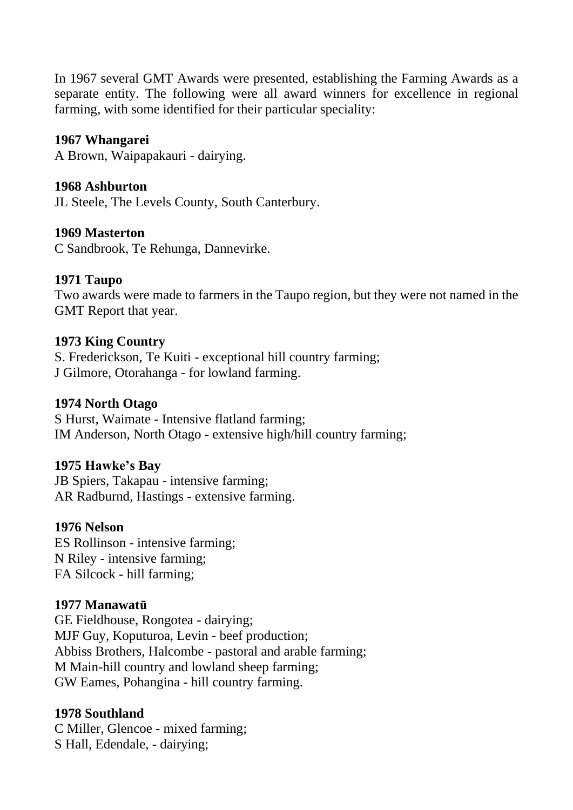In 1967 several GMT Awards were presented, establishing the Farming Awards as a separate entity. The following were all award winners for excellence in regional farming, with some identified for their particular speciality:

#### **1967 Whangarei**

A Brown, Waipapakauri - dairying.

#### **1968 Ashburton**

JL Steele, The Levels County, South Canterbury.

#### **1969 Masterton**

C Sandbrook, Te Rehunga, Dannevirke.

#### **1971 Taupo**

Two awards were made to farmers in the Taupo region, but they were not named in the GMT Report that year.

#### **1973 King Country**

S. Frederickson, Te Kuiti - exceptional hill country farming; J Gilmore, Otorahanga - for lowland farming.

#### **1974 North Otago**

S Hurst, Waimate - Intensive flatland farming; IM Anderson, North Otago - extensive high/hill country farming;

### **1975 Hawke's Bay**

JB Spiers, Takapau - intensive farming; AR Radburnd, Hastings - extensive farming.

#### **1976 Nelson**

ES Rollinson - intensive farming; N Riley - intensive farming; FA Silcock - hill farming;

### **1977 Manawatū**

GE Fieldhouse, Rongotea - dairying; MJF Guy, Koputuroa, Levin - beef production; Abbiss Brothers, Halcombe - pastoral and arable farming; M Main-hill country and lowland sheep farming; GW Eames, Pohangina - hill country farming.

### **1978 Southland**

C Miller, Glencoe - mixed farming; S Hall, Edendale, - dairying;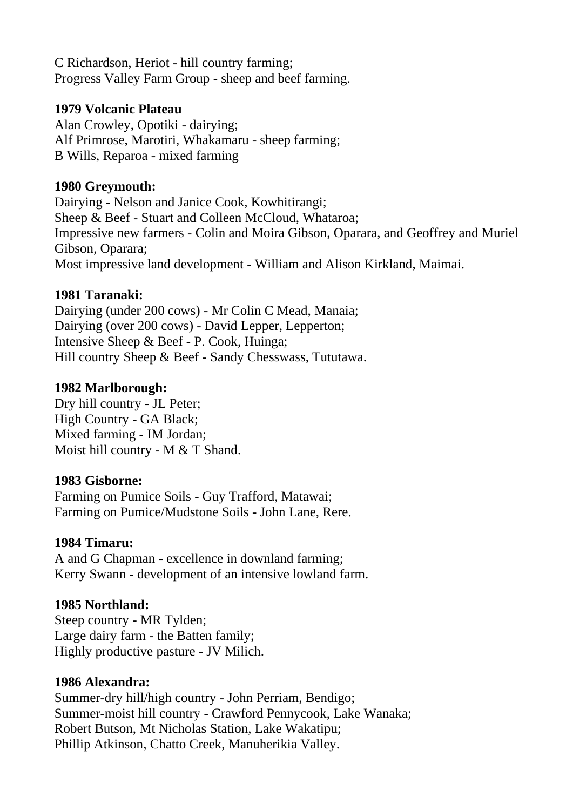C Richardson, Heriot - hill country farming; Progress Valley Farm Group - sheep and beef farming.

### **1979 Volcanic Plateau**

Alan Crowley, Opotiki - dairying; Alf Primrose, Marotiri, Whakamaru - sheep farming; B Wills, Reparoa - mixed farming

## **1980 Greymouth:**

Dairying - Nelson and Janice Cook, Kowhitirangi; Sheep & Beef - Stuart and Colleen McCloud, Whataroa; Impressive new farmers - Colin and Moira Gibson, Oparara, and Geoffrey and Muriel Gibson, Oparara; Most impressive land development - William and Alison Kirkland, Maimai.

# **1981 Taranaki:**

Dairying (under 200 cows) - Mr Colin C Mead, Manaia; Dairying (over 200 cows) - David Lepper, Lepperton; Intensive Sheep & Beef - P. Cook, Huinga; Hill country Sheep & Beef - Sandy Chesswass, Tututawa.

## **1982 Marlborough:**

Dry hill country - JL Peter; High Country - GA Black; Mixed farming - IM Jordan; Moist hill country - M & T Shand.

# **1983 Gisborne:**

Farming on Pumice Soils - Guy Trafford, Matawai; Farming on Pumice/Mudstone Soils - John Lane, Rere.

# **1984 Timaru:**

A and G Chapman - excellence in downland farming; Kerry Swann - development of an intensive lowland farm.

# **1985 Northland:**

Steep country - MR Tylden; Large dairy farm - the Batten family; Highly productive pasture - JV Milich.

### **1986 Alexandra:**

Summer-dry hill/high country - John Perriam, Bendigo; Summer-moist hill country - Crawford Pennycook, Lake Wanaka; Robert Butson, Mt Nicholas Station, Lake Wakatipu; Phillip Atkinson, Chatto Creek, Manuherikia Valley.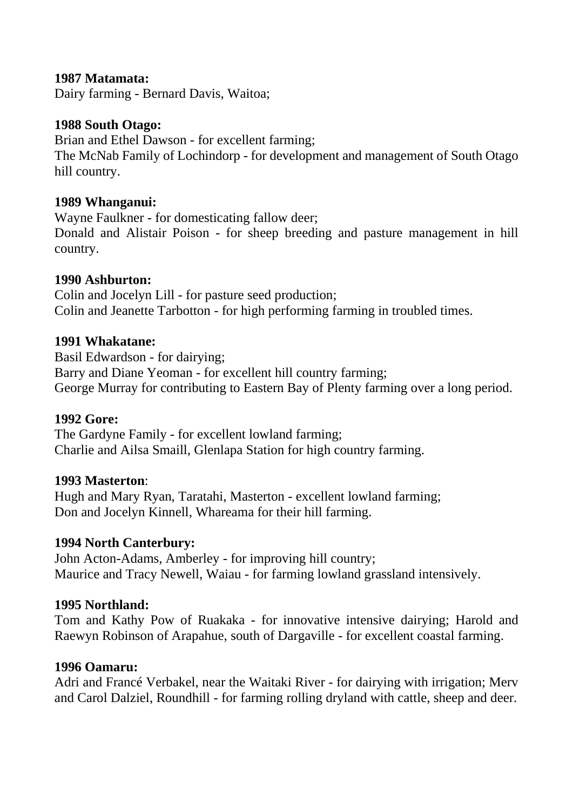#### **1987 Matamata:**

Dairy farming - Bernard Davis, Waitoa;

#### **1988 South Otago:**

Brian and Ethel Dawson - for excellent farming; The McNab Family of Lochindorp - for development and management of South Otago hill country.

#### **1989 Whanganui:**

Wayne Faulkner - for domesticating fallow deer; Donald and Alistair Poison - for sheep breeding and pasture management in hill country.

#### **1990 Ashburton:**

Colin and Jocelyn Lill - for pasture seed production; Colin and Jeanette Tarbotton - for high performing farming in troubled times.

#### **1991 Whakatane:**

Basil Edwardson - for dairying; Barry and Diane Yeoman - for excellent hill country farming; George Murray for contributing to Eastern Bay of Plenty farming over a long period.

#### **1992 Gore:**

The Gardyne Family - for excellent lowland farming; Charlie and Ailsa Smaill, Glenlapa Station for high country farming.

#### **1993 Masterton**:

Hugh and Mary Ryan, Taratahi, Masterton - excellent lowland farming; Don and Jocelyn Kinnell, Whareama for their hill farming.

### **1994 North Canterbury:**

John Acton-Adams, Amberley - for improving hill country; Maurice and Tracy Newell, Waiau - for farming lowland grassland intensively.

### **1995 Northland:**

Tom and Kathy Pow of Ruakaka - for innovative intensive dairying; Harold and Raewyn Robinson of Arapahue, south of Dargaville - for excellent coastal farming.

#### **1996 Oamaru:**

Adri and Francé Verbakel, near the Waitaki River - for dairying with irrigation; Merv and Carol Dalziel, Roundhill - for farming rolling dryland with cattle, sheep and deer.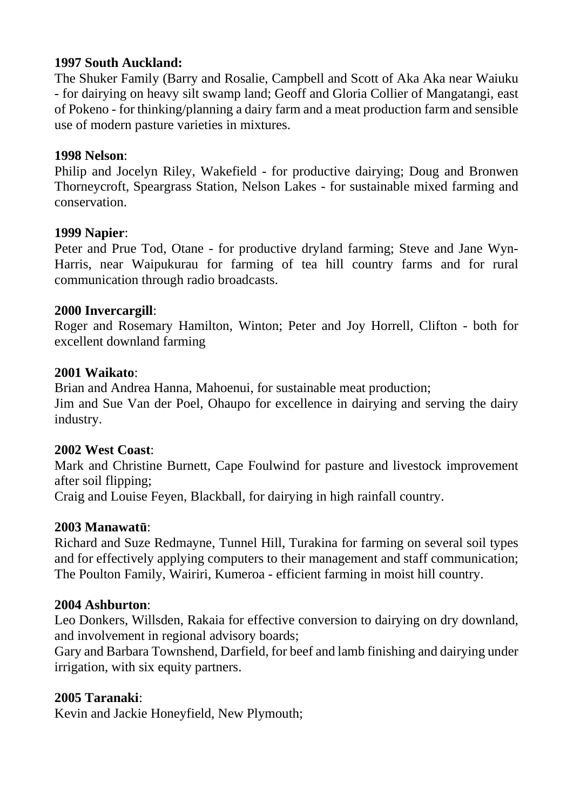## **1997 South Auckland:**

The Shuker Family (Barry and Rosalie, Campbell and Scott of Aka Aka near Waiuku - for dairying on heavy silt swamp land; Geoff and Gloria Collier of Mangatangi, east of Pokeno - for thinking/planning a dairy farm and a meat production farm and sensible use of modern pasture varieties in mixtures.

### **1998 Nelson**:

Philip and Jocelyn Riley, Wakefield - for productive dairying; Doug and Bronwen Thorneycroft, Speargrass Station, Nelson Lakes - for sustainable mixed farming and conservation.

### **1999 Napier**:

Peter and Prue Tod, Otane - for productive dryland farming; Steve and Jane Wyn-Harris, near Waipukurau for farming of tea hill country farms and for rural communication through radio broadcasts.

#### **2000 Invercargill**:

Roger and Rosemary Hamilton, Winton; Peter and Joy Horrell, Clifton - both for excellent downland farming

#### **2001 Waikato**:

Brian and Andrea Hanna, Mahoenui, for sustainable meat production; Jim and Sue Van der Poel, Ohaupo for excellence in dairying and serving the dairy industry.

### **2002 West Coast**:

Mark and Christine Burnett, Cape Foulwind for pasture and livestock improvement after soil flipping;

Craig and Louise Feyen, Blackball, for dairying in high rainfall country.

### **2003 Manawatū**:

Richard and Suze Redmayne, Tunnel Hill, Turakina for farming on several soil types and for effectively applying computers to their management and staff communication; The Poulton Family, Wairiri, Kumeroa - efficient farming in moist hill country.

### **2004 Ashburton**:

Leo Donkers, Willsden, Rakaia for effective conversion to dairying on dry downland, and involvement in regional advisory boards;

Gary and Barbara Townshend, Darfield, for beef and lamb finishing and dairying under irrigation, with six equity partners.

### **2005 Taranaki**:

Kevin and Jackie Honeyfield, New Plymouth;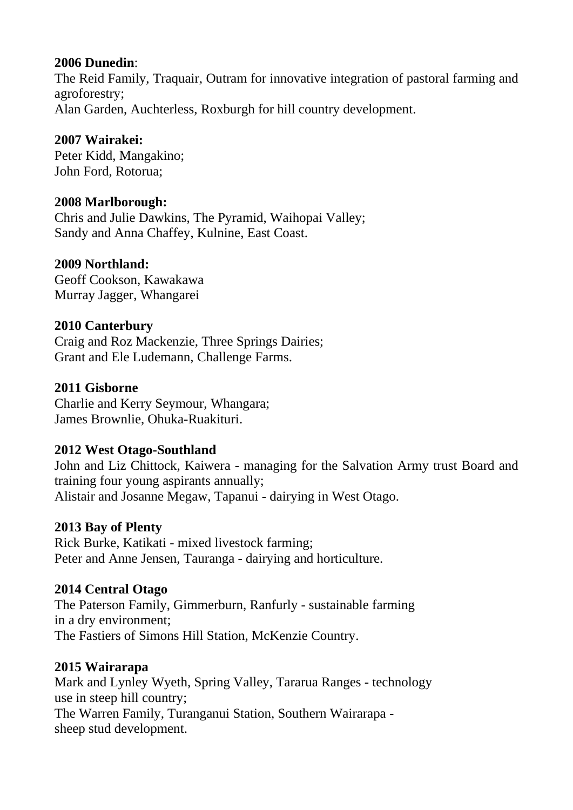## **2006 Dunedin**:

The Reid Family, Traquair, Outram for innovative integration of pastoral farming and agroforestry; Alan Garden, Auchterless, Roxburgh for hill country development.

# **2007 Wairakei:**

Peter Kidd, Mangakino; John Ford, Rotorua;

## **2008 Marlborough:**

Chris and Julie Dawkins, The Pyramid, Waihopai Valley; Sandy and Anna Chaffey, Kulnine, East Coast.

# **2009 Northland:**

Geoff Cookson, Kawakawa Murray Jagger, Whangarei

## **2010 Canterbury**

Craig and Roz Mackenzie, Three Springs Dairies; Grant and Ele Ludemann, Challenge Farms.

## **2011 Gisborne**

Charlie and Kerry Seymour, Whangara; James Brownlie, Ohuka-Ruakituri.

# **2012 West Otago-Southland**

John and Liz Chittock, Kaiwera - managing for the Salvation Army trust Board and training four young aspirants annually; Alistair and Josanne Megaw, Tapanui - dairying in West Otago.

### **2013 Bay of Plenty**

Rick Burke, Katikati - mixed livestock farming; Peter and Anne Jensen, Tauranga - dairying and horticulture.

# **2014 Central Otago**

The Paterson Family, Gimmerburn, Ranfurly - sustainable farming in a dry environment; The Fastiers of Simons Hill Station, McKenzie Country.

### **2015 Wairarapa**

Mark and Lynley Wyeth, Spring Valley, Tararua Ranges - technology use in steep hill country; The Warren Family, Turanganui Station, Southern Wairarapa sheep stud development.